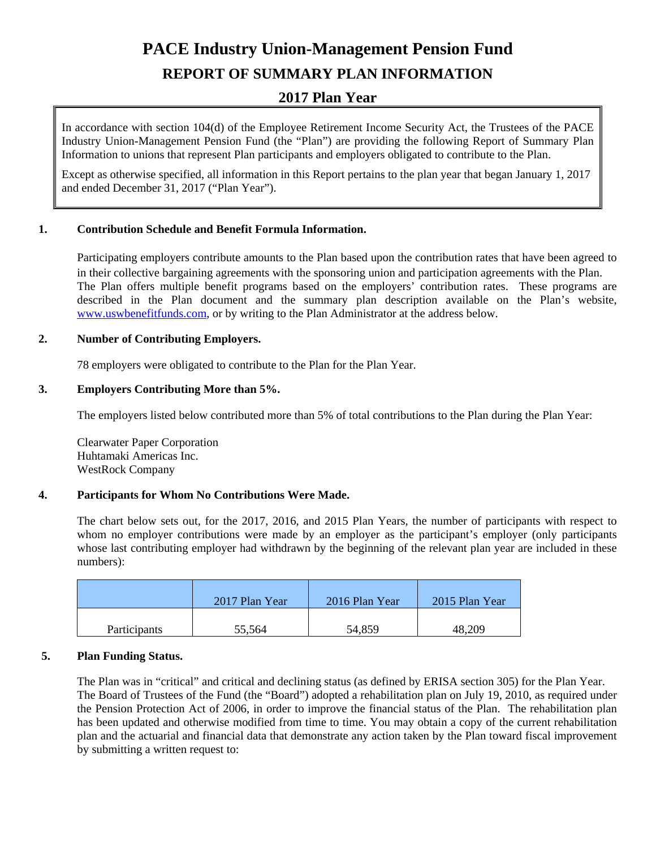# **PACE Industry Union-Management Pension Fund**

# **REPORT OF SUMMARY PLAN INFORMATION**

# **2017 Plan Year**

In accordance with section 104(d) of the Employee Retirement Income Security Act, the Trustees of the PACE Industry Union-Management Pension Fund (the "Plan") are providing the following Report of Summary Plan Information to unions that represent Plan participants and employers obligated to contribute to the Plan.

Except as otherwise specified, all information in this Report pertains to the plan year that began January 1, 2017 and ended December 31, 2017 ("Plan Year").

# **1. Contribution Schedule and Benefit Formula Information.**

Participating employers contribute amounts to the Plan based upon the contribution rates that have been agreed to in their collective bargaining agreements with the sponsoring union and participation agreements with the Plan. The Plan offers multiple benefit programs based on the employers' contribution rates. These programs are described in the Plan document and the summary plan description available on the Plan's website, www.uswbenefitfunds.com, or by writing to the Plan Administrator at the address below.

## **2. Number of Contributing Employers.**

78 employers were obligated to contribute to the Plan for the Plan Year.

# **3. Employers Contributing More than 5%.**

The employers listed below contributed more than 5% of total contributions to the Plan during the Plan Year:

 Clearwater Paper Corporation Huhtamaki Americas Inc. WestRock Company

## **4. Participants for Whom No Contributions Were Made.**

The chart below sets out, for the 2017, 2016, and 2015 Plan Years, the number of participants with respect to whom no employer contributions were made by an employer as the participant's employer (only participants whose last contributing employer had withdrawn by the beginning of the relevant plan year are included in these numbers):

|                     | 2017 Plan Year | 2016 Plan Year | 2015 Plan Year |
|---------------------|----------------|----------------|----------------|
| <b>Participants</b> | 55,564         | 54,859         | 48,209         |

## **5. Plan Funding Status.**

The Plan was in "critical" and critical and declining status (as defined by ERISA section 305) for the Plan Year. The Board of Trustees of the Fund (the "Board") adopted a rehabilitation plan on July 19, 2010, as required under the Pension Protection Act of 2006, in order to improve the financial status of the Plan. The rehabilitation plan has been updated and otherwise modified from time to time. You may obtain a copy of the current rehabilitation plan and the actuarial and financial data that demonstrate any action taken by the Plan toward fiscal improvement by submitting a written request to: